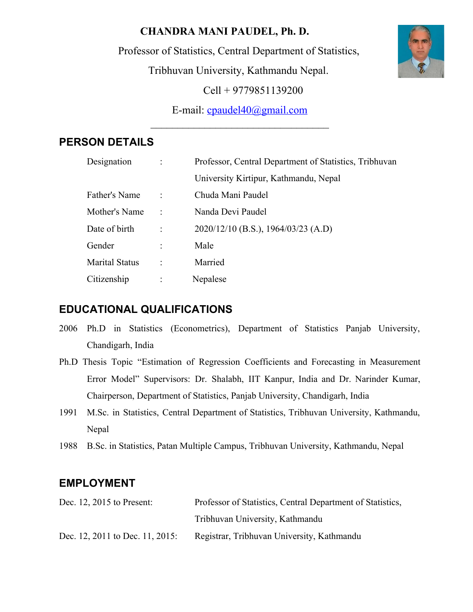## **CHANDRA MANI PAUDEL, Ph. D.**

Professor of Statistics, Central Department of Statistics,

Tribhuvan University, Kathmandu Nepal.

Cell + 9779851139200

E-mail: [cpaudel40@gmail.com](mailto:cpaudel40@gmail.com)  $\mathcal{L}_\text{max}$  , where  $\mathcal{L}_\text{max}$  and  $\mathcal{L}_\text{max}$  and  $\mathcal{L}_\text{max}$ 

# **PERSON DETAILS**

| Designation           | Professor, Central Department of Statistics, Tribhuvan |
|-----------------------|--------------------------------------------------------|
|                       | University Kirtipur, Kathmandu, Nepal                  |
| Father's Name         | Chuda Mani Paudel                                      |
| Mother's Name         | Nanda Devi Paudel                                      |
| Date of birth         | $2020/12/10$ (B.S.), 1964/03/23 (A.D)                  |
| Gender                | Male                                                   |
| <b>Marital Status</b> | Married                                                |
| Citizenship           | Nepalese                                               |

# **EDUCATIONAL QUALIFICATIONS**

- 2006 Ph.D in Statistics (Econometrics), Department of Statistics Panjab University, Chandigarh, India
- Ph.D Thesis Topic "Estimation of Regression Coefficients and Forecasting in Measurement Error Model" Supervisors: Dr. Shalabh, IIT Kanpur, India and Dr. Narinder Kumar, Chairperson, Department of Statistics, Panjab University, Chandigarh, India
- 1991 M.Sc. in Statistics, Central Department of Statistics, Tribhuvan University, Kathmandu, Nepal
- 1988 B.Sc. in Statistics, Patan Multiple Campus, Tribhuvan University, Kathmandu, Nepal

# **EMPLOYMENT**

| Dec. 12, $2015$ to Present:     | Professor of Statistics, Central Department of Statistics, |
|---------------------------------|------------------------------------------------------------|
|                                 | Tribhuvan University, Kathmandu                            |
| Dec. 12, 2011 to Dec. 11, 2015: | Registrar, Tribhuvan University, Kathmandu                 |

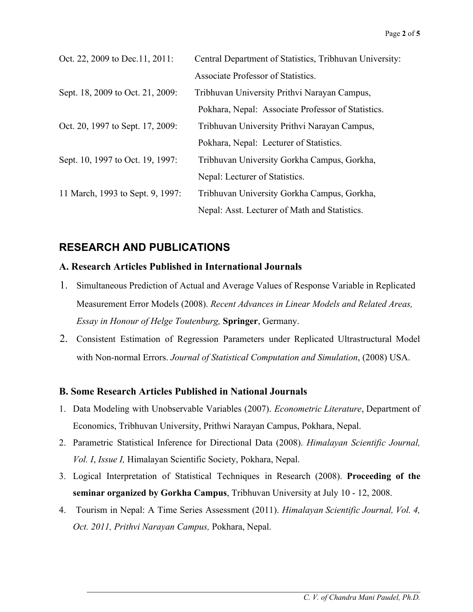| Oct. 22, 2009 to Dec. 11, 2011:  | Central Department of Statistics, Tribhuvan University: |
|----------------------------------|---------------------------------------------------------|
|                                  | Associate Professor of Statistics.                      |
| Sept. 18, 2009 to Oct. 21, 2009: | Tribhuvan University Prithvi Narayan Campus,            |
|                                  | Pokhara, Nepal: Associate Professor of Statistics.      |
| Oct. 20, 1997 to Sept. 17, 2009: | Tribhuvan University Prithvi Narayan Campus,            |
|                                  | Pokhara, Nepal: Lecturer of Statistics.                 |
| Sept. 10, 1997 to Oct. 19, 1997: | Tribhuvan University Gorkha Campus, Gorkha,             |
|                                  | Nepal: Lecturer of Statistics.                          |
| 11 March, 1993 to Sept. 9, 1997: | Tribhuvan University Gorkha Campus, Gorkha,             |
|                                  | Nepal: Asst. Lecturer of Math and Statistics.           |

## **RESEARCH AND PUBLICATIONS**

### **A. Research Articles Published in International Journals**

- 1. Simultaneous Prediction of Actual and Average Values of Response Variable in Replicated Measurement Error Models (2008). *Recent Advances in Linear Models and Related Areas, Essay in Honour of Helge Toutenburg,* **Springer**, Germany.
- 2. Consistent Estimation of Regression Parameters under Replicated Ultrastructural Model with Non-normal Errors. *Journal of Statistical Computation and Simulation*, (2008) USA.

#### **B. Some Research Articles Published in National Journals**

- 1. Data Modeling with Unobservable Variables (2007). *Econometric Literature*, Department of Economics, Tribhuvan University, Prithwi Narayan Campus, Pokhara, Nepal.
- 2. Parametric Statistical Inference for Directional Data (2008). *Himalayan Scientific Journal, Vol. I*, *Issue I,* Himalayan Scientific Society, Pokhara, Nepal.
- 3. Logical Interpretation of Statistical Techniques in Research (2008). **Proceeding of the seminar organized by Gorkha Campus**, Tribhuvan University at July 10 - 12, 2008.
- 4. Tourism in Nepal: A Time Series Assessment (2011). *Himalayan Scientific Journal, Vol. 4, Oct. 2011, Prithvi Narayan Campus,* Pokhara, Nepal.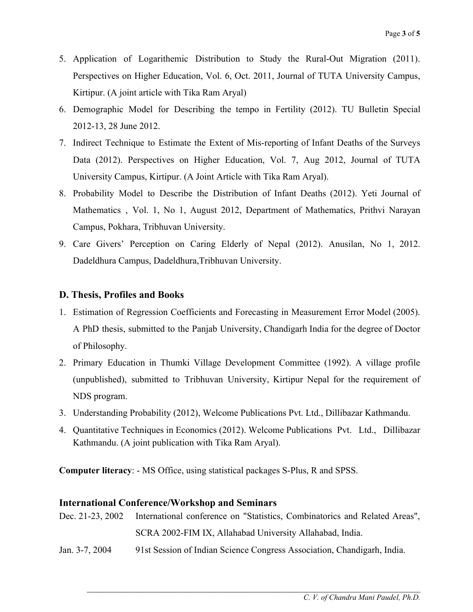- 5. Application of Logarithemic Distribution to Study the Rural-Out Migration (2011). Perspectives on Higher Education, Vol. 6, Oct. 2011, Journal of TUTA University Campus, Kirtipur. (A joint article with Tika Ram Aryal)
- 6. Demographic Model for Describing the tempo in Fertility (2012). TU Bulletin Special 2012-13, 28 June 2012.
- 7. Indirect Technique to Estimate the Extent of Mis-reporting of Infant Deaths of the Surveys Data (2012). Perspectives on Higher Education, Vol. 7, Aug 2012, Journal of TUTA University Campus, Kirtipur. (A Joint Article with Tika Ram Aryal).
- 8. Probability Model to Describe the Distribution of Infant Deaths (2012). Yeti Journal of Mathematics , Vol. 1, No 1, August 2012, Department of Mathematics, Prithvi Narayan Campus, Pokhara, Tribhuvan University.
- 9. Care Givers' Perception on Caring Elderly of Nepal (2012). Anusilan, No 1, 2012. Dadeldhura Campus, Dadeldhura,Tribhuvan University.

### **D. Thesis, Profiles and Books**

- 1. Estimation of Regression Coefficients and Forecasting in Measurement Error Model (2005). A PhD thesis, submitted to the Panjab University, Chandigarh India for the degree of Doctor of Philosophy.
- 2. Primary Education in Thumki Village Development Committee (1992). A village profile (unpublished), submitted to Tribhuvan University, Kirtipur Nepal for the requirement of NDS program.
- 3. Understanding Probability (2012), Welcome Publications Pvt. Ltd., Dillibazar Kathmandu.
- 4. Quantitative Techniques in Economics (2012). Welcome Publications Pvt. Ltd., Dillibazar Kathmandu. (A joint publication with Tika Ram Aryal).

**Computer literacy**: - MS Office, using statistical packages S-Plus, R and SPSS.

### **International Conference/Workshop and Seminars**

|                | Dec. 21-23, 2002 International conference on "Statistics, Combinatorics and Related Areas", |
|----------------|---------------------------------------------------------------------------------------------|
|                | SCRA 2002-FIM IX, Allahabad University Allahabad, India.                                    |
| Jan. 3-7, 2004 | 91st Session of Indian Science Congress Association, Chandigarh, India.                     |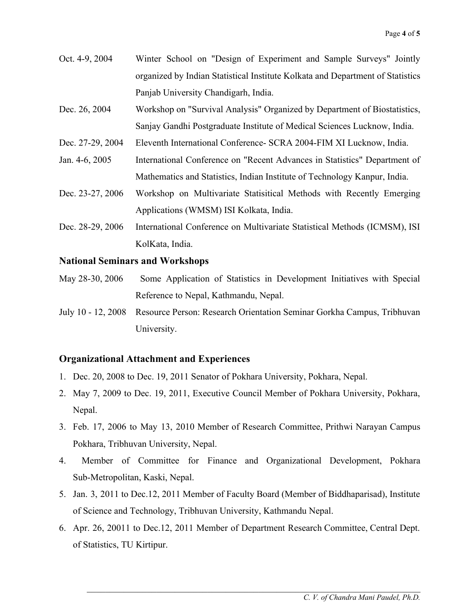- Oct. 4-9, 2004 Winter School on "Design of Experiment and Sample Surveys" Jointly organized by Indian Statistical Institute Kolkata and Department of Statistics Panjab University Chandigarh, India.
- Dec. 26, 2004 Workshop on "Survival Analysis" Organized by Department of Biostatistics, Sanjay Gandhi Postgraduate Institute of Medical Sciences Lucknow, India.
- Dec. 27-29, 2004 Eleventh International Conference- SCRA 2004-FIM XI Lucknow, India.
- Jan. 4-6, 2005 International Conference on "Recent Advances in Statistics" Department of Mathematics and Statistics, Indian Institute of Technology Kanpur, India.
- Dec. 23-27, 2006 Workshop on Multivariate Statisitical Methods with Recently Emerging Applications (WMSM) ISI Kolkata, India.
- Dec. 28-29, 2006 International Conference on Multivariate Statistical Methods (ICMSM), ISI KolKata, India.

#### **National Seminars and Workshops**

- May 28-30, 2006 Some Application of Statistics in Development Initiatives with Special Reference to Nepal, Kathmandu, Nepal.
- July 10 12, 2008 Resource Person: Research Orientation Seminar Gorkha Campus, Tribhuvan University.

#### **Organizational Attachment and Experiences**

- 1. Dec. 20, 2008 to Dec. 19, 2011 Senator of Pokhara University, Pokhara, Nepal.
- 2. May 7, 2009 to Dec. 19, 2011, Executive Council Member of Pokhara University, Pokhara, Nepal.
- 3. Feb. 17, 2006 to May 13, 2010 Member of Research Committee, Prithwi Narayan Campus Pokhara, Tribhuvan University, Nepal.
- 4. Member of Committee for Finance and Organizational Development, Pokhara Sub-Metropolitan, Kaski, Nepal.
- 5. Jan. 3, 2011 to Dec.12, 2011 Member of Faculty Board (Member of Biddhaparisad), Institute of Science and Technology, Tribhuvan University, Kathmandu Nepal.
- 6. Apr. 26, 20011 to Dec.12, 2011 Member of Department Research Committee, Central Dept. of Statistics, TU Kirtipur.